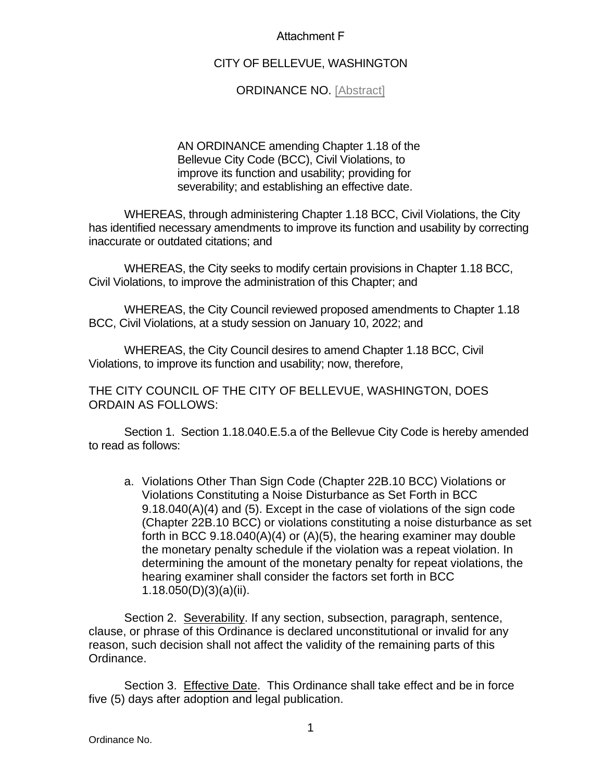## Attachment F

## CITY OF BELLEVUE, WASHINGTON

## ORDINANCE NO. [Abstract]

AN ORDINANCE amending Chapter 1.18 of the Bellevue City Code (BCC), Civil Violations, to improve its function and usability; providing for severability; and establishing an effective date.

WHEREAS, through administering Chapter 1.18 BCC, Civil Violations, the City has identified necessary amendments to improve its function and usability by correcting inaccurate or outdated citations; and

WHEREAS, the City seeks to modify certain provisions in Chapter 1.18 BCC, Civil Violations, to improve the administration of this Chapter; and

WHEREAS, the City Council reviewed proposed amendments to Chapter 1.18 BCC, Civil Violations, at a study session on January 10, 2022; and

WHEREAS, the City Council desires to amend Chapter 1.18 BCC, Civil Violations, to improve its function and usability; now, therefore,

THE CITY COUNCIL OF THE CITY OF BELLEVUE, WASHINGTON, DOES ORDAIN AS FOLLOWS:

Section 1. Section 1.18.040.E.5.a of the Bellevue City Code is hereby amended to read as follows:

a. Violations Other Than Sign Code (Chapter 22B.10 BCC) Violations or Violations Constituting a Noise Disturbance as Set Forth in BCC 9.18.040(A)(4) and (5). Except in the case of violations of the sign code (Chapter 22B.10 BCC) or violations constituting a noise disturbance as set forth in BCC 9.18.040(A)(4) or (A)(5), the hearing examiner may double the monetary penalty schedule if the violation was a repeat violation. In determining the amount of the monetary penalty for repeat violations, the hearing examiner shall consider the factors set forth in BCC 1.18.050(D)(3)(a)(ii).

Section 2. Severability. If any section, subsection, paragraph, sentence, clause, or phrase of this Ordinance is declared unconstitutional or invalid for any reason, such decision shall not affect the validity of the remaining parts of this Ordinance.

Section 3. Effective Date. This Ordinance shall take effect and be in force five (5) days after adoption and legal publication.

Ordinance No.